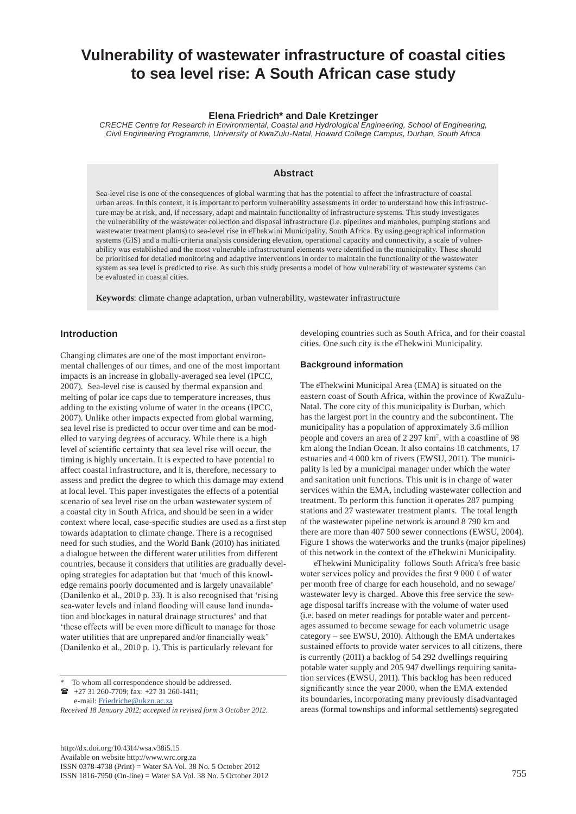# **Vulnerability of wastewater infrastructure of coastal cities to sea level rise: A South African case study**

#### **Elena Friedrich\* and Dale Kretzinger**

*CRECHE Centre for Research in Environmental, Coastal and Hydrological Engineering, School of Engineering, Civil Engineering Programme, University of KwaZulu-Natal, Howard College Campus, Durban, South Africa*

## **Abstract**

Sea-level rise is one of the consequences of global warming that has the potential to affect the infrastructure of coastal urban areas. In this context, it is important to perform vulnerability assessments in order to understand how this infrastructure may be at risk, and, if necessary, adapt and maintain functionality of infrastructure systems. This study investigates the vulnerability of the wastewater collection and disposal infrastructure (i.e. pipelines and manholes, pumping stations and wastewater treatment plants) to sea-level rise in eThekwini Municipality, South Africa. By using geographical information systems (GIS) and a multi-criteria analysis considering elevation, operational capacity and connectivity, a scale of vulnerability was established and the most vulnerable infrastructural elements were identified in the municipality. These should be prioritised for detailed monitoring and adaptive interventions in order to maintain the functionality of the wastewater system as sea level is predicted to rise. As such this study presents a model of how vulnerability of wastewater systems can be evaluated in coastal cities.

**Keywords**: climate change adaptation, urban vulnerability, wastewater infrastructure

## **Introduction**

Changing climates are one of the most important environmental challenges of our times, and one of the most important impacts is an increase in globally-averaged sea level (IPCC, 2007). Sea-level rise is caused by thermal expansion and melting of polar ice caps due to temperature increases, thus adding to the existing volume of water in the oceans (IPCC, 2007). Unlike other impacts expected from global warming, sea level rise is predicted to occur over time and can be modelled to varying degrees of accuracy. While there is a high level of scientific certainty that sea level rise will occur, the timing is highly uncertain. It is expected to have potential to affect coastal infrastructure, and it is, therefore, necessary to assess and predict the degree to which this damage may extend at local level. This paper investigates the effects of a potential scenario of sea level rise on the urban wastewater system of a coastal city in South Africa, and should be seen in a wider context where local, case-specific studies are used as a first step towards adaptation to climate change. There is a recognised need for such studies, and the World Bank (2010) has initiated a dialogue between the different water utilities from different countries, because it considers that utilities are gradually developing strategies for adaptation but that 'much of this knowledge remains poorly documented and is largely unavailable' (Danilenko et al., 2010 p. 33). It is also recognised that 'rising sea-water levels and inland flooding will cause land inundation and blockages in natural drainage structures' and that 'these effects will be even more difficult to manage for those water utilities that are unprepared and/or financially weak' (Danilenko et al., 2010 p. 1). This is particularly relevant for

To whom all correspondence should be addressed. +27 31 260-7709; fax: +27 31 260-1411; e-mail: [Friedriche@ukzn.ac.za](mailto:Friedriche@ukzn.ac.za) 

*Received 18 January 2012; accepted in revised form 3 October 2012.*

[http://dx.doi.org/10.4314/wsa.v38i5.15](http://dx.doi.org/10.4314/wsa.v37i4.18)  Available on website http://www.wrc.org.za ISSN 0378-4738 (Print) = Water SA Vol. 38 No. 5 October 2012 ISSN 1816-7950 (On-line) = Water SA Vol. 38 No. 5 October 2012 755

developing countries such as South Africa, and for their coastal cities. One such city is the eThekwini Municipality.

## **Background information**

The eThekwini Municipal Area (EMA) is situated on the eastern coast of South Africa, within the province of KwaZulu-Natal. The core city of this municipality is Durban, which has the largest port in the country and the subcontinent. The municipality has a population of approximately 3.6 million people and covers an area of 2 297 km2 , with a coastline of 98 km along the Indian Ocean. It also contains 18 catchments, 17 estuaries and 4 000 km of rivers (EWSU, 2011). The municipality is led by a municipal manager under which the water and sanitation unit functions. This unit is in charge of water services within the EMA, including wastewater collection and treatment. To perform this function it operates 287 pumping stations and 27 wastewater treatment plants. The total length of the wastewater pipeline network is around 8 790 km and there are more than 407 500 sewer connections (EWSU, 2004). Figure 1 shows the waterworks and the trunks (major pipelines) of this network in the context of the eThekwini Municipality.

eThekwini Municipality follows South Africa's free basic water services policy and provides the first 9 000  $\ell$  of water per month free of charge for each household, and no sewage/ wastewater levy is charged. Above this free service the sewage disposal tariffs increase with the volume of water used (i.e. based on meter readings for potable water and percentages assumed to become sewage for each volumetric usage category – see EWSU, 2010). Although the EMA undertakes sustained efforts to provide water services to all citizens, there is currently (2011) a backlog of 54 292 dwellings requiring potable water supply and 205 947 dwellings requiring sanitation services (EWSU, 2011). This backlog has been reduced significantly since the year 2000, when the EMA extended its boundaries, incorporating many previously disadvantaged areas (formal townships and informal settlements) segregated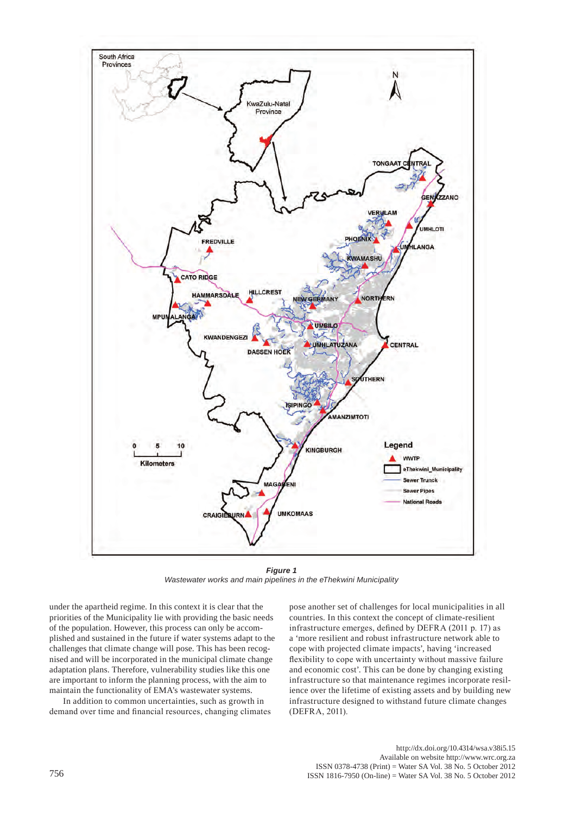

*Figure 1 Wastewater works and main pipelines in the eThekwini Municipality*

under the apartheid regime. In this context it is clear that the priorities of the Municipality lie with providing the basic needs of the population. However, this process can only be accomplished and sustained in the future if water systems adapt to the challenges that climate change will pose. This has been recognised and will be incorporated in the municipal climate change adaptation plans. Therefore, vulnerability studies like this one are important to inform the planning process, with the aim to maintain the functionality of EMA's wastewater systems.

In addition to common uncertainties, such as growth in demand over time and financial resources, changing climates pose another set of challenges for local municipalities in all countries. In this context the concept of climate-resilient infrastructure emerges, defined by DEFRA (2011 p. 17) as a 'more resilient and robust infrastructure network able to cope with projected climate impacts', having 'increased flexibility to cope with uncertainty without massive failure and economic cost'. This can be done by changing existing infrastructure so that maintenance regimes incorporate resilience over the lifetime of existing assets and by building new infrastructure designed to withstand future climate changes (DEFRA, 2011).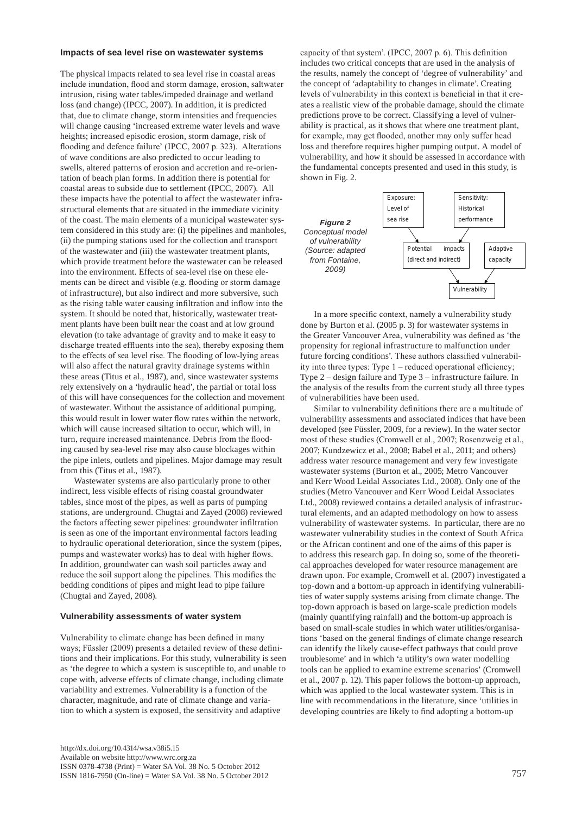#### **Impacts of sea level rise on wastewater systems**

The physical impacts related to sea level rise in coastal areas include inundation, flood and storm damage, erosion, saltwater intrusion, rising water tables/impeded drainage and wetland loss (and change) (IPCC, 2007). In addition, it is predicted that, due to climate change, storm intensities and frequencies will change causing 'increased extreme water levels and wave heights; increased episodic erosion, storm damage, risk of flooding and defence failure' (IPCC, 2007 p. 323). Alterations of wave conditions are also predicted to occur leading to swells, altered patterns of erosion and accretion and re-orientation of beach plan forms. In addition there is potential for coastal areas to subside due to settlement (IPCC, 2007). All these impacts have the potential to affect the wastewater infrastructural elements that are situated in the immediate vicinity of the coast. The main elements of a municipal wastewater system considered in this study are: (i) the pipelines and manholes, (ii) the pumping stations used for the collection and transport of the wastewater and (iii) the wastewater treatment plants, which provide treatment before the wastewater can be released into the environment. Effects of sea-level rise on these elements can be direct and visible (e.g. flooding or storm damage of infrastructure), but also indirect and more subversive, such as the rising table water causing infiltration and inflow into the system. It should be noted that, historically, wastewater treatment plants have been built near the coast and at low ground elevation (to take advantage of gravity and to make it easy to discharge treated effluents into the sea), thereby exposing them to the effects of sea level rise. The flooding of low-lying areas will also affect the natural gravity drainage systems within these areas (Titus et al., 1987), and, since wastewater systems rely extensively on a 'hydraulic head', the partial or total loss of this will have consequences for the collection and movement of wastewater. Without the assistance of additional pumping, this would result in lower water flow rates within the network, which will cause increased siltation to occur, which will, in turn, require increased maintenance. Debris from the flooding caused by sea-level rise may also cause blockages within the pipe inlets, outlets and pipelines. Major damage may result from this (Titus et al., 1987).

Wastewater systems are also particularly prone to other indirect, less visible effects of rising coastal groundwater tables, since most of the pipes, as well as parts of pumping stations, are underground. Chugtai and Zayed (2008) reviewed the factors affecting sewer pipelines: groundwater infiltration is seen as one of the important environmental factors leading to hydraulic operational deterioration, since the system (pipes, pumps and wastewater works) has to deal with higher flows. In addition, groundwater can wash soil particles away and reduce the soil support along the pipelines. This modifies the bedding conditions of pipes and might lead to pipe failure (Chugtai and Zayed, 2008).

#### **Vulnerability assessments of water system**

Vulnerability to climate change has been defined in many ways; Füssler (2009) presents a detailed review of these definitions and their implications. For this study, vulnerability is seen as 'the degree to which a system is susceptible to, and unable to cope with, adverse effects of climate change, including climate variability and extremes. Vulnerability is a function of the character, magnitude, and rate of climate change and variation to which a system is exposed, the sensitivity and adaptive

capacity of that system'. (IPCC, 2007 p. 6). This definition includes two critical concepts that are used in the analysis of the results, namely the concept of 'degree of vulnerability' and the concept of 'adaptability to changes in climate'. Creating levels of vulnerability in this context is beneficial in that it creates a realistic view of the probable damage, should the climate predictions prove to be correct. Classifying a level of vulnerability is practical, as it shows that where one treatment plant, for example, may get flooded, another may only suffer head loss and therefore requires higher pumping output. A model of vulnerability, and how it should be assessed in accordance with the fundamental concepts presented and used in this study, is shown in Fig. 2.



In a more specific context, namely a vulnerability study done by Burton et al. (2005 p. 3) for wastewater systems in the Greater Vancouver Area, vulnerability was defined as 'the propensity for regional infrastructure to malfunction under future forcing conditions'*.* These authors classified vulnerability into three types: Type 1 – reduced operational efficiency; Type 2 – design failure and Type 3 – infrastructure failure. In the analysis of the results from the current study all three types of vulnerabilities have been used.

Similar to vulnerability definitions there are a multitude of vulnerability assessments and associated indices that have been developed (see Füssler, 2009, for a review). In the water sector most of these studies (Cromwell et al., 2007; Rosenzweig et al., 2007; Kundzewicz et al., 2008; Babel et al., 2011; and others) address water resource management and very few investigate wastewater systems (Burton et al., 2005; Metro Vancouver and Kerr Wood Leidal Associates Ltd., 2008). Only one of the studies (Metro Vancouver and Kerr Wood Leidal Associates Ltd., 2008) reviewed contains a detailed analysis of infrastructural elements, and an adapted methodology on how to assess vulnerability of wastewater systems. In particular, there are no wastewater vulnerability studies in the context of South Africa or the African continent and one of the aims of this paper is to address this research gap. In doing so, some of the theoretical approaches developed for water resource management are drawn upon. For example, Cromwell et al. (2007) investigated a top-down and a bottom-up approach in identifying vulnerabilities of water supply systems arising from climate change. The top-down approach is based on large-scale prediction models (mainly quantifying rainfall) and the bottom-up approach is based on small-scale studies in which water utilities/organisations 'based on the general findings of climate change research can identify the likely cause-effect pathways that could prove troublesome' and in which 'a utility's own water modelling tools can be applied to examine extreme scenarios' (Cromwell et al., 2007 p. 12). This paper follows the bottom-up approach, which was applied to the local wastewater system. This is in line with recommendations in the literature, since 'utilities in developing countries are likely to find adopting a bottom-up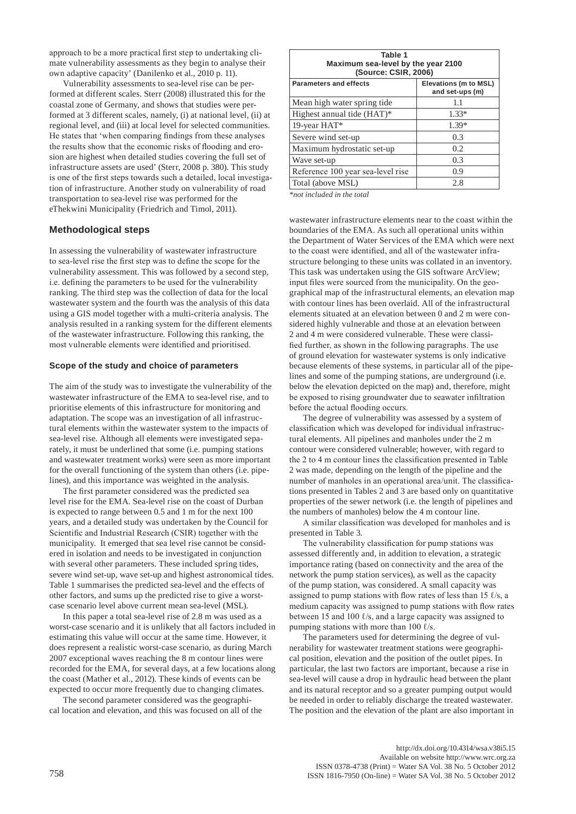approach to be a more practical first step to undertaking climate vulnerability assessments as they begin to analyse their own adaptive capacity' (Danilenko et al., 2010 p. 11).

Vulnerability assessments to sea-level rise can be performed at different scales. Sterr (2008) illustrated this for the coastal zone of Germany, and shows that studies were performed at 3 different scales, namely, (i) at national level, (ii) at regional level, and (iii) at local level for selected communities. He states that 'when comparing findings from these analyses the results show that the economic risks of flooding and erosion are highest when detailed studies covering the full set of infrastructure assets are used' (Sterr, 2008 p. 380). This study is one of the first steps towards such a detailed, local investigation of infrastructure. Another study on vulnerability of road transportation to sea-level rise was performed for the eThekwini Municipality (Friedrich and Timol, 2011).

## **Methodological steps**

In assessing the vulnerability of wastewater infrastructure to sea-level rise the first step was to define the scope for the vulnerability assessment. This was followed by a second step, i.e. defining the parameters to be used for the vulnerability ranking. The third step was the collection of data for the local wastewater system and the fourth was the analysis of this data using a GIS model together with a multi-criteria analysis. The analysis resulted in a ranking system for the different elements of the wastewater infrastructure. Following this ranking, the most vulnerable elements were identified and prioritised.

#### **Scope of the study and choice of parameters**

The aim of the study was to investigate the vulnerability of the wastewater infrastructure of the EMA to sea-level rise, and to prioritise elements of this infrastructure for monitoring and adaptation. The scope was an investigation of all infrastructural elements within the wastewater system to the impacts of sea-level rise. Although all elements were investigated separately, it must be underlined that some (i.e. pumping stations and wastewater treatment works) were seen as more important for the overall functioning of the system than others (i.e. pipelines), and this importance was weighted in the analysis.

The first parameter considered was the predicted sea level rise for the EMA. Sea-level rise on the coast of Durban is expected to range between 0.5 and 1 m for the next 100 years, and a detailed study was undertaken by the Council for Scientific and Industrial Research (CSIR) together with the municipality. It emerged that sea level rise cannot be considered in isolation and needs to be investigated in conjunction with several other parameters. These included spring tides, severe wind set-up, wave set-up and highest astronomical tides. Table 1 summarises the predicted sea-level and the effects of other factors, and sums up the predicted rise to give a worstcase scenario level above current mean sea-level (MSL).

In this paper a total sea-level rise of 2.8 m was used as a worst-case scenario and it is unlikely that all factors included in estimating this value will occur at the same time. However, it does represent a realistic worst-case scenario, as during March 2007 exceptional waves reaching the 8 m contour lines were recorded for the EMA, for several days, at a few locations along the coast (Mather et al., 2012). These kinds of events can be expected to occur more frequently due to changing climates.

The second parameter considered was the geographical location and elevation, and this was focused on all of the

| Table 1<br>Maximum sea-level by the year 2100<br>(Source: CSIR, 2006) |                                          |  |  |  |
|-----------------------------------------------------------------------|------------------------------------------|--|--|--|
| <b>Parameters and effects</b>                                         | Elevations (m to MSL)<br>and set-ups (m) |  |  |  |
| Mean high water spring tide.                                          | 1.1                                      |  |  |  |
| Highest annual tide (HAT)*                                            | $1.33*$                                  |  |  |  |
| 19-year HAT*                                                          | $1.39*$                                  |  |  |  |
| Severe wind set-up                                                    | 0.3                                      |  |  |  |
| Maximum hydrostatic set-up                                            | 0.2                                      |  |  |  |
| Wave set-up                                                           | 0.3                                      |  |  |  |
| Reference 100 year sea-level rise                                     | 0.9                                      |  |  |  |
| Total (above MSL)                                                     | 2.8                                      |  |  |  |

*\*not included in the total*

wastewater infrastructure elements near to the coast within the boundaries of the EMA. As such all operational units within the Department of Water Services of the EMA which were next to the coast were identified, and all of the wastewater infrastructure belonging to these units was collated in an inventory. This task was undertaken using the GIS software ArcView; input files were sourced from the municipality. On the geographical map of the infrastructural elements, an elevation map with contour lines has been overlaid. All of the infrastructural elements situated at an elevation between 0 and 2 m were considered highly vulnerable and those at an elevation between 2 and 4 m were considered vulnerable. These were classified further, as shown in the following paragraphs. The use of ground elevation for wastewater systems is only indicative because elements of these systems, in particular all of the pipelines and some of the pumping stations, are underground (i.e. below the elevation depicted on the map) and, therefore, might be exposed to rising groundwater due to seawater infiltration before the actual flooding occurs.

The degree of vulnerability was assessed by a system of classification which was developed for individual infrastructural elements. All pipelines and manholes under the 2 m contour were considered vulnerable; however, with regard to the 2 to 4 m contour lines the classification presented in Table 2 was made, depending on the length of the pipeline and the number of manholes in an operational area/unit. The classifications presented in Tables 2 and 3 are based only on quantitative properties of the sewer network (i.e. the length of pipelines and the numbers of manholes) below the 4 m contour line.

A similar classification was developed for manholes and is presented in Table 3.

The vulnerability classification for pump stations was assessed differently and, in addition to elevation, a strategic importance rating (based on connectivity and the area of the network the pump station services), as well as the capacity of the pump station, was considered. A small capacity was assigned to pump stations with flow rates of less than 15  $\ell$ /s, a medium capacity was assigned to pump stations with flow rates between 15 and 100  $\ell$ /s, and a large capacity was assigned to pumping stations with more than 100  $\ell$ /s.

The parameters used for determining the degree of vulnerability for wastewater treatment stations were geographical position, elevation and the position of the outlet pipes. In particular, the last two factors are important, because a rise in sea-level will cause a drop in hydraulic head between the plant and its natural receptor and so a greater pumping output would be needed in order to reliably discharge the treated wastewater. The position and the elevation of the plant are also important in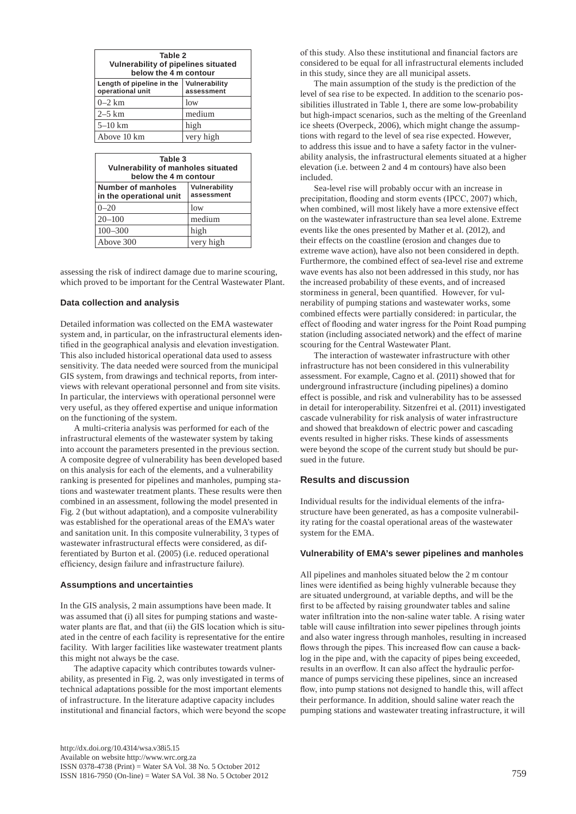| Table 2<br>Vulnerability of pipelines situated<br>below the 4 m contour |                             |  |  |  |
|-------------------------------------------------------------------------|-----------------------------|--|--|--|
| Length of pipeline in the<br>operational unit                           | Vulnerability<br>assessment |  |  |  |
| $0-2$ km                                                                | low                         |  |  |  |
| $2-5$ km                                                                | medium                      |  |  |  |
| $5 - 10$ km                                                             | high                        |  |  |  |
| Above 10 km                                                             | very high                   |  |  |  |
|                                                                         |                             |  |  |  |
| - - - -                                                                 |                             |  |  |  |

| Table 3<br>Vulnerability of manholes situated<br>below the 4 m contour |                             |  |  |  |
|------------------------------------------------------------------------|-----------------------------|--|--|--|
| Number of manholes<br>in the operational unit                          | Vulnerability<br>assessment |  |  |  |
| $0 - 20$                                                               | low                         |  |  |  |
| $20 - 100$                                                             | medium                      |  |  |  |
| $100 - 300$                                                            | high                        |  |  |  |
| Above 300                                                              | very high                   |  |  |  |

assessing the risk of indirect damage due to marine scouring, which proved to be important for the Central Wastewater Plant.

#### **Data collection and analysis**

Detailed information was collected on the EMA wastewater system and, in particular, on the infrastructural elements identified in the geographical analysis and elevation investigation. This also included historical operational data used to assess sensitivity. The data needed were sourced from the municipal GIS system, from drawings and technical reports, from interviews with relevant operational personnel and from site visits. In particular, the interviews with operational personnel were very useful, as they offered expertise and unique information on the functioning of the system.

A multi-criteria analysis was performed for each of the infrastructural elements of the wastewater system by taking into account the parameters presented in the previous section. A composite degree of vulnerability has been developed based on this analysis for each of the elements, and a vulnerability ranking is presented for pipelines and manholes, pumping stations and wastewater treatment plants. These results were then combined in an assessment, following the model presented in Fig. 2 (but without adaptation), and a composite vulnerability was established for the operational areas of the EMA's water and sanitation unit. In this composite vulnerability, 3 types of wastewater infrastructural effects were considered, as differentiated by Burton et al. (2005) (i.e. reduced operational efficiency, design failure and infrastructure failure).

#### **Assumptions and uncertainties**

In the GIS analysis, 2 main assumptions have been made. It was assumed that (i) all sites for pumping stations and wastewater plants are flat, and that (ii) the GIS location which is situated in the centre of each facility is representative for the entire facility. With larger facilities like wastewater treatment plants this might not always be the case.

The adaptive capacity which contributes towards vulnerability, as presented in Fig. 2, was only investigated in terms of technical adaptations possible for the most important elements of infrastructure. In the literature adaptive capacity includes institutional and financial factors, which were beyond the scope of this study. Also these institutional and financial factors are considered to be equal for all infrastructural elements included in this study, since they are all municipal assets.

The main assumption of the study is the prediction of the level of sea rise to be expected. In addition to the scenario possibilities illustrated in Table 1, there are some low-probability but high-impact scenarios, such as the melting of the Greenland ice sheets (Overpeck, 2006), which might change the assumptions with regard to the level of sea rise expected. However, to address this issue and to have a safety factor in the vulnerability analysis, the infrastructural elements situated at a higher elevation (i.e. between 2 and 4 m contours) have also been included.

Sea-level rise will probably occur with an increase in precipitation, flooding and storm events (IPCC, 2007) which, when combined, will most likely have a more extensive effect on the wastewater infrastructure than sea level alone. Extreme events like the ones presented by Mather et al. (2012), and their effects on the coastline (erosion and changes due to extreme wave action), have also not been considered in depth. Furthermore, the combined effect of sea-level rise and extreme wave events has also not been addressed in this study, nor has the increased probability of these events, and of increased storminess in general, been quantified. However, for vulnerability of pumping stations and wastewater works, some combined effects were partially considered: in particular, the effect of flooding and water ingress for the Point Road pumping station (including associated network) and the effect of marine scouring for the Central Wastewater Plant.

The interaction of wastewater infrastructure with other infrastructure has not been considered in this vulnerability assessment. For example, Cagno et al. (2011) showed that for underground infrastructure (including pipelines) a domino effect is possible, and risk and vulnerability has to be assessed in detail for interoperability. Sitzenfrei et al. (2011) investigated cascade vulnerability for risk analysis of water infrastructure and showed that breakdown of electric power and cascading events resulted in higher risks. These kinds of assessments were beyond the scope of the current study but should be pursued in the future.

#### **Results and discussion**

Individual results for the individual elements of the infrastructure have been generated, as has a composite vulnerability rating for the coastal operational areas of the wastewater system for the EMA.

#### **Vulnerability of EMA's sewer pipelines and manholes**

All pipelines and manholes situated below the 2 m contour lines were identified as being highly vulnerable because they are situated underground, at variable depths, and will be the first to be affected by raising groundwater tables and saline water infiltration into the non-saline water table. A rising water table will cause infiltration into sewer pipelines through joints and also water ingress through manholes, resulting in increased flows through the pipes. This increased flow can cause a backlog in the pipe and, with the capacity of pipes being exceeded, results in an overflow. It can also affect the hydraulic performance of pumps servicing these pipelines, since an increased flow, into pump stations not designed to handle this, will affect their performance. In addition, should saline water reach the pumping stations and wastewater treating infrastructure, it will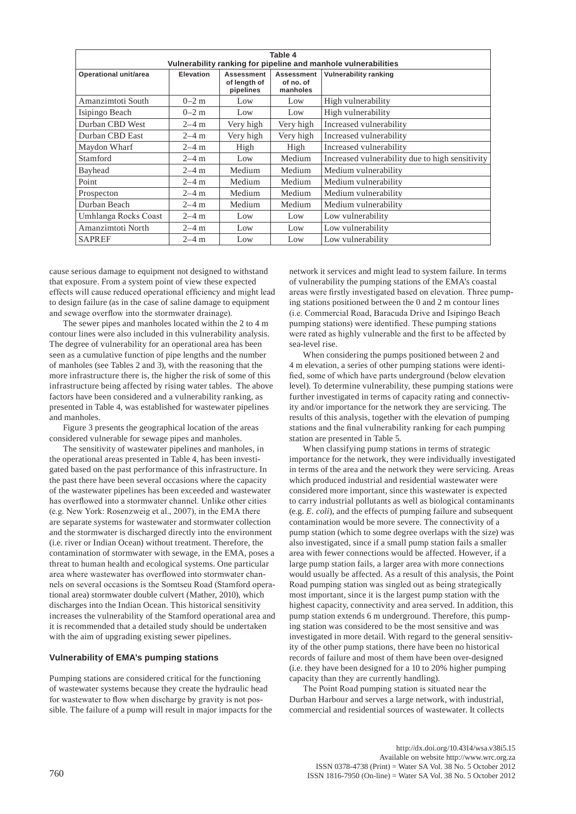| Table 4<br>Vulnerability ranking for pipeline and manhole vulnerabilities |           |                                         |                                     |                                                 |  |
|---------------------------------------------------------------------------|-----------|-----------------------------------------|-------------------------------------|-------------------------------------------------|--|
| Operational unit/area                                                     | Elevation | Assessment<br>of length of<br>pipelines | Assessment<br>of no. of<br>manholes | Vulnerability ranking                           |  |
| Amanzimtoti South                                                         | $0-2$ m   | Low                                     | Low                                 | High vulnerability                              |  |
| Isipingo Beach                                                            | $0-2$ m   | Low                                     | Low                                 | High vulnerability                              |  |
| Durban CBD West                                                           | $2 - 4$ m | Very high                               | Very high                           | Increased vulnerability                         |  |
| Durban CBD East                                                           | $2-4$ m   | Very high                               | Very high                           | Increased vulnerability                         |  |
| Maydon Wharf                                                              | $2-4$ m   | High                                    | High                                | Increased vulnerability                         |  |
| Stamford                                                                  | $2-4$ m   | Low                                     | Medium                              | Increased vulnerability due to high sensitivity |  |
| Bayhead                                                                   | $2 - 4$ m | Medium                                  | Medium                              | Medium vulnerability                            |  |
| Point                                                                     | $2 - 4$ m | Medium                                  | Medium                              | Medium vulnerability                            |  |
| Prospecton                                                                | $2 - 4$ m | Medium                                  | Medium                              | Medium vulnerability                            |  |
| Durban Beach                                                              | $2 - 4$ m | Medium                                  | Medium                              | Medium vulnerability                            |  |
| Umhlanga Rocks Coast                                                      | $2-4$ m   | Low                                     | Low                                 | Low vulnerability                               |  |
| Amanzimtoti North                                                         | $2-4$ m   | Low                                     | Low                                 | Low vulnerability                               |  |
| <b>SAPREF</b>                                                             | $2 - 4$ m | Low                                     | Low                                 | Low vulnerability                               |  |

cause serious damage to equipment not designed to withstand that exposure. From a system point of view these expected effects will cause reduced operational efficiency and might lead to design failure (as in the case of saline damage to equipment and sewage overflow into the stormwater drainage).

The sewer pipes and manholes located within the 2 to 4 m contour lines were also included in this vulnerability analysis. The degree of vulnerability for an operational area has been seen as a cumulative function of pipe lengths and the number of manholes (see Tables 2 and 3), with the reasoning that the more infrastructure there is, the higher the risk of some of this infrastructure being affected by rising water tables. The above factors have been considered and a vulnerability ranking, as presented in Table 4, was established for wastewater pipelines and manholes.

Figure 3 presents the geographical location of the areas considered vulnerable for sewage pipes and manholes.

The sensitivity of wastewater pipelines and manholes, in the operational areas presented in Table 4, has been investigated based on the past performance of this infrastructure. In the past there have been several occasions where the capacity of the wastewater pipelines has been exceeded and wastewater has overflowed into a stormwater channel. Unlike other cities (e.g. New York: Rosenzweig et al., 2007), in the EMA there are separate systems for wastewater and stormwater collection and the stormwater is discharged directly into the environment (i.e. river or Indian Ocean) without treatment. Therefore, the contamination of stormwater with sewage, in the EMA, poses a threat to human health and ecological systems. One particular area where wastewater has overflowed into stormwater channels on several occasions is the Somtseu Road (Stamford operational area) stormwater double culvert (Mather, 2010), which discharges into the Indian Ocean. This historical sensitivity increases the vulnerability of the Stamford operational area and it is recommended that a detailed study should be undertaken with the aim of upgrading existing sewer pipelines.

## **Vulnerability of EMA's pumping stations**

Pumping stations are considered critical for the functioning of wastewater systems because they create the hydraulic head for wastewater to flow when discharge by gravity is not possible. The failure of a pump will result in major impacts for the network it services and might lead to system failure. In terms of vulnerability the pumping stations of the EMA's coastal areas were firstly investigated based on elevation. Three pumping stations positioned between the 0 and 2 m contour lines (i.e. Commercial Road, Baracuda Drive and Isipingo Beach pumping stations) were identified. These pumping stations were rated as highly vulnerable and the first to be affected by sea-level rise.

When considering the pumps positioned between 2 and 4 m elevation, a series of other pumping stations were identified, some of which have parts underground (below elevation level). To determine vulnerability, these pumping stations were further investigated in terms of capacity rating and connectivity and/or importance for the network they are servicing. The results of this analysis, together with the elevation of pumping stations and the final vulnerability ranking for each pumping station are presented in Table 5.

When classifying pump stations in terms of strategic importance for the network, they were individually investigated in terms of the area and the network they were servicing. Areas which produced industrial and residential wastewater were considered more important, since this wastewater is expected to carry industrial pollutants as well as biological contaminants (e.g. *E. coli*), and the effects of pumping failure and subsequent contamination would be more severe. The connectivity of a pump station (which to some degree overlaps with the size) was also investigated, since if a small pump station fails a smaller area with fewer connections would be affected. However, if a large pump station fails, a larger area with more connections would usually be affected. As a result of this analysis, the Point Road pumping station was singled out as being strategically most important, since it is the largest pump station with the highest capacity, connectivity and area served. In addition, this pump station extends 6 m underground. Therefore, this pumping station was considered to be the most sensitive and was investigated in more detail. With regard to the general sensitivity of the other pump stations, there have been no historical records of failure and most of them have been over-designed (i.e. they have been designed for a 10 to 20% higher pumping capacity than they are currently handling).

The Point Road pumping station is situated near the Durban Harbour and serves a large network, with industrial, commercial and residential sources of wastewater. It collects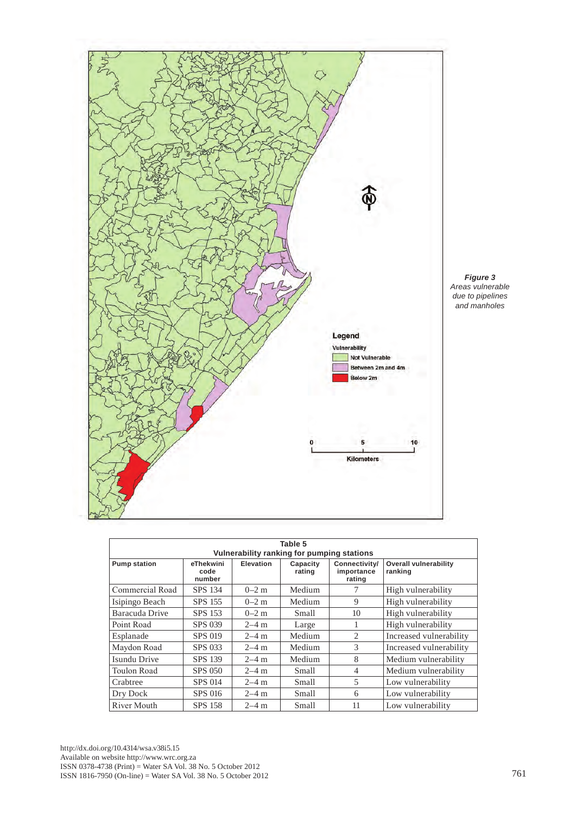

| Table 5<br>Vulnerability ranking for pumping stations |                             |                  |                    |                                       |                                         |
|-------------------------------------------------------|-----------------------------|------------------|--------------------|---------------------------------------|-----------------------------------------|
| <b>Pump station</b>                                   | eThekwini<br>code<br>number | <b>Elevation</b> | Capacity<br>rating | Connectivity/<br>importance<br>rating | <b>Overall vulnerability</b><br>ranking |
| Commercial Road                                       | SPS 134                     | $0-2$ m          | Medium             |                                       | High vulnerability                      |
| Isipingo Beach                                        | <b>SPS 155</b>              | $0-2$ m          | Medium             | 9                                     | High vulnerability                      |
| Baracuda Drive                                        | SPS 153                     | $0-2$ m          | Small              | 10                                    | High vulnerability                      |
| Point Road                                            | SPS 039                     | $2-4$ m          | Large              | 1                                     | High vulnerability                      |
| Esplanade                                             | SPS 019                     | $2-4$ m          | Medium             | 2                                     | Increased vulnerability                 |
| Maydon Road                                           | <b>SPS 033</b>              | $2 - 4$ m        | Medium             | 3                                     | Increased vulnerability                 |
| <b>Isundu Drive</b>                                   | <b>SPS 139</b>              | $2 - 4$ m        | Medium             | 8                                     | Medium vulnerability                    |
| <b>Toulon Road</b>                                    | <b>SPS 050</b>              | $2 - 4$ m        | Small              | $\overline{4}$                        | Medium vulnerability                    |
| Crabtree                                              | <b>SPS 014</b>              | $2 - 4$ m        | Small              | 5                                     | Low vulnerability                       |
| Dry Dock                                              | SPS 016                     | $2 - 4$ m        | Small              | 6                                     | Low vulnerability                       |
| <b>River Mouth</b>                                    | <b>SPS 158</b>              | $2 - 4$ m        | Small              | 11                                    | Low vulnerability                       |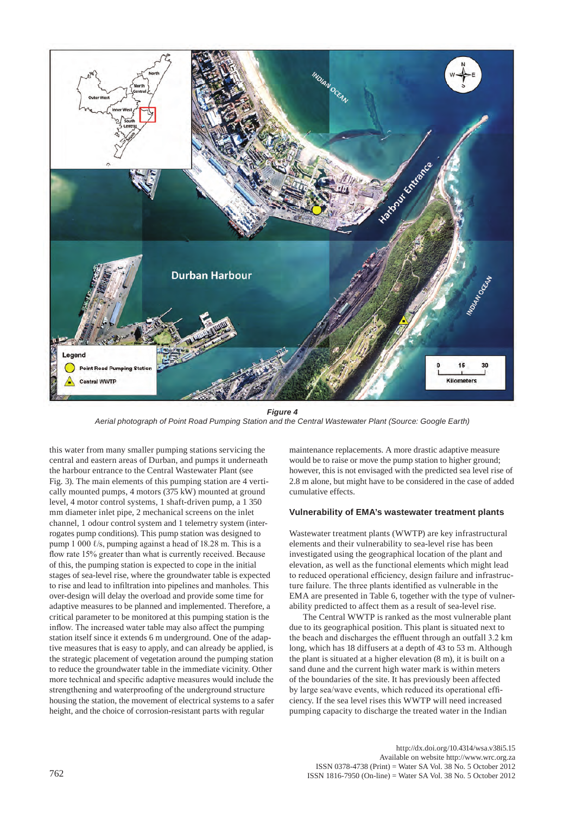

*Figure 4 Aerial photograph of Point Road Pumping Station and the Central Wastewater Plant (Source: Google Earth)*

this water from many smaller pumping stations servicing the central and eastern areas of Durban, and pumps it underneath the harbour entrance to the Central Wastewater Plant (see Fig. 3). The main elements of this pumping station are 4 vertically mounted pumps, 4 motors (375 kW) mounted at ground level, 4 motor control systems, 1 shaft-driven pump, a 1 350 mm diameter inlet pipe, 2 mechanical screens on the inlet channel, 1 odour control system and 1 telemetry system (interrogates pump conditions). This pump station was designed to pump 1 000 ℓ/s, pumping against a head of 18.28 m. This is a flow rate 15% greater than what is currently received. Because of this, the pumping station is expected to cope in the initial stages of sea-level rise, where the groundwater table is expected to rise and lead to infiltration into pipelines and manholes. This over-design will delay the overload and provide some time for adaptive measures to be planned and implemented. Therefore, a critical parameter to be monitored at this pumping station is the inflow. The increased water table may also affect the pumping station itself since it extends 6 m underground. One of the adaptive measures that is easy to apply, and can already be applied, is the strategic placement of vegetation around the pumping station to reduce the groundwater table in the immediate vicinity. Other more technical and specific adaptive measures would include the strengthening and waterproofing of the underground structure housing the station, the movement of electrical systems to a safer height, and the choice of corrosion-resistant parts with regular

maintenance replacements. A more drastic adaptive measure would be to raise or move the pump station to higher ground; however, this is not envisaged with the predicted sea level rise of 2.8 m alone, but might have to be considered in the case of added cumulative effects.

#### **Vulnerability of EMA's wastewater treatment plants**

Wastewater treatment plants (WWTP) are key infrastructural elements and their vulnerability to sea-level rise has been investigated using the geographical location of the plant and elevation, as well as the functional elements which might lead to reduced operational efficiency, design failure and infrastructure failure. The three plants identified as vulnerable in the EMA are presented in Table 6, together with the type of vulnerability predicted to affect them as a result of sea-level rise.

The Central WWTP is ranked as the most vulnerable plant due to its geographical position. This plant is situated next to the beach and discharges the effluent through an outfall 3.2 km long, which has 18 diffusers at a depth of 43 to 53 m. Although the plant is situated at a higher elevation (8 m), it is built on a sand dune and the current high water mark is within meters of the boundaries of the site. It has previously been affected by large sea/wave events, which reduced its operational efficiency. If the sea level rises this WWTP will need increased pumping capacity to discharge the treated water in the Indian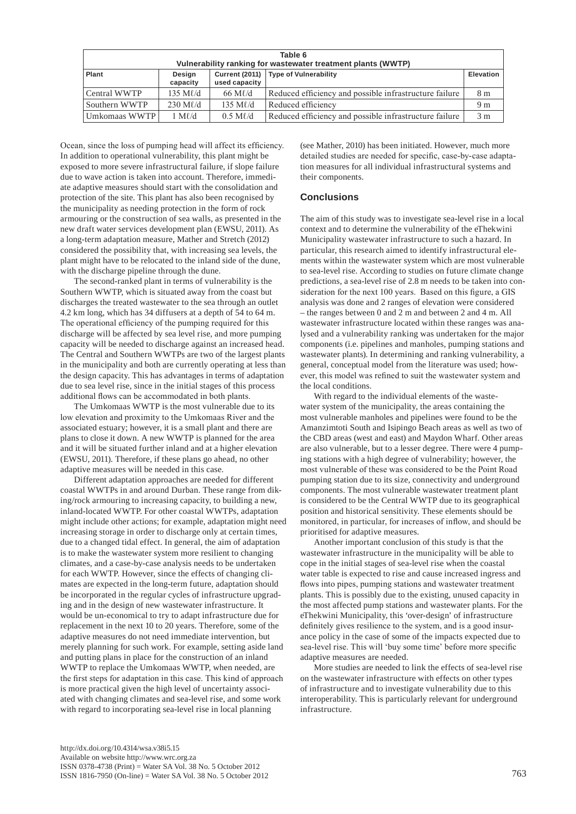| Table 6<br>Vulnerability ranking for wastewater treatment plants (WWTP) |                   |                   |                                                        |                |  |
|-------------------------------------------------------------------------|-------------------|-------------------|--------------------------------------------------------|----------------|--|
| Plant<br>Design<br>used capacity<br>capacity                            |                   |                   | Current (2011)   Type of Vulnerability                 | Elevation      |  |
| Central WWTP                                                            | $135$ M $\ell$ /d | $66$ M $\ell$ /d  | Reduced efficiency and possible infrastructure failure | 8 <sub>m</sub> |  |
| Southern WWTP                                                           | $230$ M $\ell$ /d | 135 M $\ell$ d    | Reduced efficiency                                     | 9 <sub>m</sub> |  |
| Umkomaas WWTP                                                           | $1 M\ell/d$       | $0.5$ M $\ell$ /d | Reduced efficiency and possible infrastructure failure | 3 <sub>m</sub> |  |

Ocean, since the loss of pumping head will affect its efficiency. In addition to operational vulnerability, this plant might be exposed to more severe infrastructural failure, if slope failure due to wave action is taken into account. Therefore, immediate adaptive measures should start with the consolidation and protection of the site. This plant has also been recognised by the municipality as needing protection in the form of rock armouring or the construction of sea walls, as presented in the new draft water services development plan (EWSU, 2011). As a long-term adaptation measure, Mather and Stretch (2012) considered the possibility that, with increasing sea levels, the plant might have to be relocated to the inland side of the dune, with the discharge pipeline through the dune.

The second-ranked plant in terms of vulnerability is the Southern WWTP, which is situated away from the coast but discharges the treated wastewater to the sea through an outlet 4.2 km long, which has 34 diffusers at a depth of 54 to 64 m. The operational efficiency of the pumping required for this discharge will be affected by sea level rise, and more pumping capacity will be needed to discharge against an increased head. The Central and Southern WWTPs are two of the largest plants in the municipality and both are currently operating at less than the design capacity. This has advantages in terms of adaptation due to sea level rise, since in the initial stages of this process additional flows can be accommodated in both plants.

The Umkomaas WWTP is the most vulnerable due to its low elevation and proximity to the Umkomaas River and the associated estuary; however, it is a small plant and there are plans to close it down. A new WWTP is planned for the area and it will be situated further inland and at a higher elevation (EWSU, 2011). Therefore, if these plans go ahead, no other adaptive measures will be needed in this case.

Different adaptation approaches are needed for different coastal WWTPs in and around Durban. These range from diking/rock armouring to increasing capacity, to building a new, inland-located WWTP. For other coastal WWTPs, adaptation might include other actions; for example, adaptation might need increasing storage in order to discharge only at certain times, due to a changed tidal effect. In general, the aim of adaptation is to make the wastewater system more resilient to changing climates, and a case-by-case analysis needs to be undertaken for each WWTP. However, since the effects of changing climates are expected in the long-term future, adaptation should be incorporated in the regular cycles of infrastructure upgrading and in the design of new wastewater infrastructure. It would be un-economical to try to adapt infrastructure due for replacement in the next 10 to 20 years. Therefore, some of the adaptive measures do not need immediate intervention, but merely planning for such work. For example, setting aside land and putting plans in place for the construction of an inland WWTP to replace the Umkomaas WWTP, when needed, are the first steps for adaptation in this case. This kind of approach is more practical given the high level of uncertainty associated with changing climates and sea-level rise, and some work with regard to incorporating sea-level rise in local planning

(see Mather, 2010) has been initiated. However, much more detailed studies are needed for specific, case-by-case adaptation measures for all individual infrastructural systems and their components.

# **Conclusions**

The aim of this study was to investigate sea-level rise in a local context and to determine the vulnerability of the eThekwini Municipality wastewater infrastructure to such a hazard. In particular, this research aimed to identify infrastructural elements within the wastewater system which are most vulnerable to sea-level rise. According to studies on future climate change predictions, a sea-level rise of 2.8 m needs to be taken into consideration for the next 100 years. Based on this figure, a GIS analysis was done and 2 ranges of elevation were considered – the ranges between 0 and 2 m and between 2 and 4 m. All wastewater infrastructure located within these ranges was analysed and a vulnerability ranking was undertaken for the major components (i.e. pipelines and manholes, pumping stations and wastewater plants). In determining and ranking vulnerability, a general, conceptual model from the literature was used; however, this model was refined to suit the wastewater system and the local conditions.

With regard to the individual elements of the wastewater system of the municipality, the areas containing the most vulnerable manholes and pipelines were found to be the Amanzimtoti South and Isipingo Beach areas as well as two of the CBD areas (west and east) and Maydon Wharf. Other areas are also vulnerable, but to a lesser degree. There were 4 pumping stations with a high degree of vulnerability; however, the most vulnerable of these was considered to be the Point Road pumping station due to its size, connectivity and underground components. The most vulnerable wastewater treatment plant is considered to be the Central WWTP due to its geographical position and historical sensitivity. These elements should be monitored, in particular, for increases of inflow, and should be prioritised for adaptive measures.

Another important conclusion of this study is that the wastewater infrastructure in the municipality will be able to cope in the initial stages of sea-level rise when the coastal water table is expected to rise and cause increased ingress and flows into pipes, pumping stations and wastewater treatment plants. This is possibly due to the existing, unused capacity in the most affected pump stations and wastewater plants. For the eThekwini Municipality, this 'over-design' of infrastructure definitely gives resilience to the system, and is a good insurance policy in the case of some of the impacts expected due to sea-level rise. This will 'buy some time' before more specific adaptive measures are needed.

More studies are needed to link the effects of sea-level rise on the wastewater infrastructure with effects on other types of infrastructure and to investigate vulnerability due to this interoperability. This is particularly relevant for underground infrastructure.